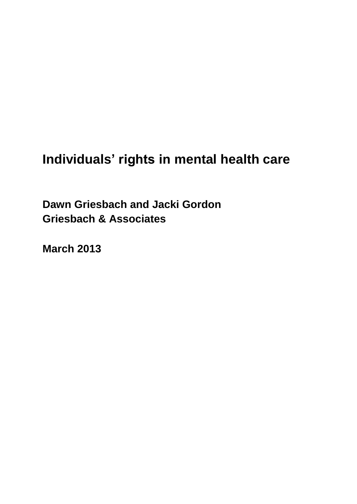## **Individuals' rights in mental health care**

**Dawn Griesbach and Jacki Gordon Griesbach & Associates**

**March 2013**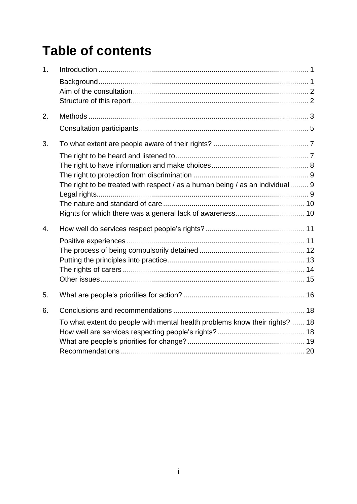# **Table of contents**

| 1 <sub>1</sub> |                                                                              |  |
|----------------|------------------------------------------------------------------------------|--|
|                |                                                                              |  |
|                |                                                                              |  |
|                |                                                                              |  |
| 2.             |                                                                              |  |
|                |                                                                              |  |
| 3.             |                                                                              |  |
|                |                                                                              |  |
|                |                                                                              |  |
|                |                                                                              |  |
|                | The right to be treated with respect / as a human being / as an individual 9 |  |
|                |                                                                              |  |
|                |                                                                              |  |
|                |                                                                              |  |
| 4.             |                                                                              |  |
|                |                                                                              |  |
|                |                                                                              |  |
|                |                                                                              |  |
|                |                                                                              |  |
|                |                                                                              |  |
| 5.             |                                                                              |  |
| 6.             |                                                                              |  |
|                | To what extent do people with mental health problems know their rights?  18  |  |
|                |                                                                              |  |
|                |                                                                              |  |
|                |                                                                              |  |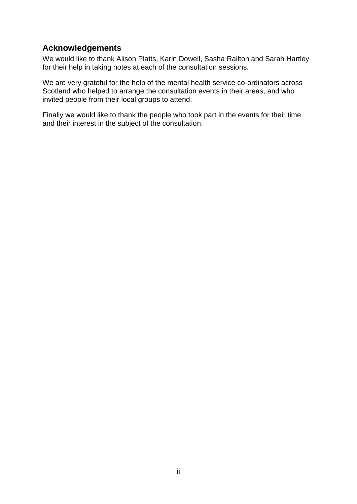### **Acknowledgements**

We would like to thank Alison Platts, Karin Dowell, Sasha Railton and Sarah Hartley for their help in taking notes at each of the consultation sessions.

We are very grateful for the help of the mental health service co-ordinators across Scotland who helped to arrange the consultation events in their areas, and who invited people from their local groups to attend.

Finally we would like to thank the people who took part in the events for their time and their interest in the subject of the consultation.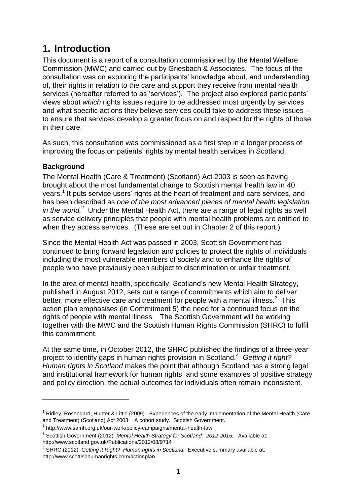### <span id="page-3-0"></span>**1. Introduction**

This document is a report of a consultation commissioned by the Mental Welfare Commission (MWC) and carried out by Griesbach & Associates. The focus of the consultation was on exploring the participants' knowledge about, and understanding of, their rights in relation to the care and support they receive from mental health services (hereafter referred to as 'services'). The project also explored participants' views about *which* rights issues require to be addressed most urgently by services and what specific actions they believe services could take to address these issues – to ensure that services develop a greater focus on and respect for the rights of those in their care.

As such, this consultation was commissioned as a first step in a longer process of improving the focus on patients' rights by mental health services in Scotland.

### <span id="page-3-1"></span>**Background**

 $\overline{a}$ 

The Mental Health (Care & Treatment) (Scotland) Act 2003 is seen as having brought about the most fundamental change to Scottish mental health law in 40 years.<sup>1</sup> It puts service users' rights at the heart of treatment and care services, and has been described as *one of the most advanced pieces of mental health legislation*  in the world.<sup>2</sup> Under the Mental Health Act, there are a range of legal rights as well as service delivery principles that people with mental health problems are entitled to when they access services. (These are set out in Chapter 2 of this report.)

Since the Mental Health Act was passed in 2003, Scottish Government has continued to bring forward legislation and policies to protect the rights of individuals including the most vulnerable members of society and to enhance the rights of people who have previously been subject to discrimination or unfair treatment.

In the area of mental health, specifically, Scotland's new Mental Health Strategy, published in August 2012, sets out a range of commitments which aim to deliver better, more effective care and treatment for people with a mental illness. $3$  This action plan emphasises (in Commitment 5) the need for a continued focus on the rights of people with mental illness. The Scottish Government will be working together with the MWC and the Scottish Human Rights Commission (SHRC) to fulfil this commitment.

At the same time, in October 2012, the SHRC published the findings of a three-year project to identify gaps in human rights provision in Scotland.<sup>4</sup> *Getting it right? Human rights in Scotland* makes the point that although Scotland has a strong legal and institutional framework for human rights, and some examples of positive strategy and policy direction, the actual outcomes for individuals often remain inconsistent.

 $1$  Ridley, Rosengard, Hunter & Little (2009). Experiences of the early implementation of the Mental Health (Care and Treatment) (Scotland) Act 2003: A cohort study. Scottish Government.

<sup>&</sup>lt;sup>2</sup> http://www.samh.org.uk/our-work/policy-campaigns/mental-health-law

<sup>3</sup> Scottish Government (2012) *Mental Health Strategy for Scotland: 2012-2015.* Available at: http://www.scotland.gov.uk/Publications/2012/08/9714

<sup>&</sup>lt;sup>4</sup> SHRC (2012) *Getting it Right? Human rights in Scotland.* Executive summary available at: http://www.scottishhumanrights.com/actionplan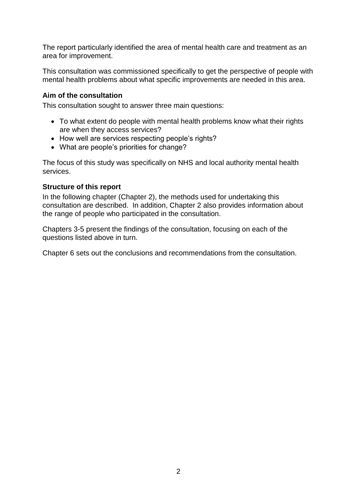The report particularly identified the area of mental health care and treatment as an area for improvement.

This consultation was commissioned specifically to get the perspective of people with mental health problems about what specific improvements are needed in this area.

### <span id="page-4-0"></span>**Aim of the consultation**

This consultation sought to answer three main questions:

- To what extent do people with mental health problems know what their rights are when they access services?
- How well are services respecting people's rights?
- What are people's priorities for change?

The focus of this study was specifically on NHS and local authority mental health services.

### <span id="page-4-1"></span>**Structure of this report**

In the following chapter (Chapter 2), the methods used for undertaking this consultation are described. In addition, Chapter 2 also provides information about the range of people who participated in the consultation.

Chapters 3-5 present the findings of the consultation, focusing on each of the questions listed above in turn.

Chapter 6 sets out the conclusions and recommendations from the consultation.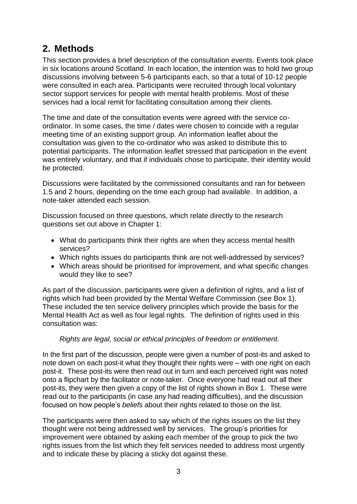### <span id="page-5-0"></span>**2. Methods**

This section provides a brief description of the consultation events. Events took place in six locations around Scotland. In each location, the intention was to hold two group discussions involving between 5-6 participants each, so that a total of 10-12 people were consulted in each area. Participants were recruited through local voluntary sector support services for people with mental health problems. Most of these services had a local remit for facilitating consultation among their clients.

The time and date of the consultation events were agreed with the service coordinator. In some cases, the time / dates were chosen to coincide with a regular meeting time of an existing support group. An information leaflet about the consultation was given to the co-ordinator who was asked to distribute this to potential participants. The information leaflet stressed that participation in the event was entirely voluntary, and that if individuals chose to participate, their identity would be protected.

Discussions were facilitated by the commissioned consultants and ran for between 1.5 and 2 hours, depending on the time each group had available. In addition, a note-taker attended each session.

Discussion focused on three questions, which relate directly to the research questions set out above in Chapter 1:

- What do participants think their rights are when they access mental health services?
- Which rights issues do participants think are not well-addressed by services?
- Which areas should be prioritised for improvement, and what specific changes would they like to see?

As part of the discussion, participants were given a definition of rights, and a list of rights which had been provided by the Mental Welfare Commission (see Box 1). These included the ten service delivery principles which provide the basis for the Mental Health Act as well as four legal rights. The definition of rights used in this consultation was:

### *Rights are legal, social or ethical principles of freedom or entitlement.*

In the first part of the discussion, people were given a number of post-its and asked to note down on each post-it what they thought their rights were – with one right on each post-it. These post-its were then read out in turn and each perceived right was noted onto a flipchart by the facilitator or note-taker. Once everyone had read out all their post-its, they were then given a copy of the list of rights shown in Box 1. These were read out to the participants (in case any had reading difficulties), and the discussion focused on how people's *beliefs* about their rights related to those on the list.

The participants were then asked to say which of the rights issues on the list they thought were not being addressed well by services. The group's priorities for improvement were obtained by asking each member of the group to pick the two rights issues from the list which they felt services needed to address most urgently and to indicate these by placing a sticky dot against these.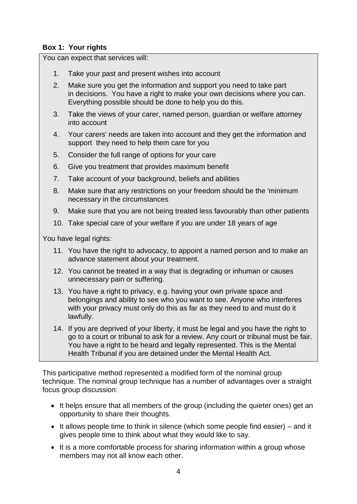### **Box 1: Your rights**

You can expect that services will:

- 1. Take your past and present wishes into account
- 2. Make sure you get the information and support you need to take part in decisions. You have a right to make your own decisions where you can. Everything possible should be done to help you do this.
- 3. Take the views of your carer, named person, guardian or welfare attorney into account
- 4. Your carers' needs are taken into account and they get the information and support they need to help them care for you
- 5. Consider the full range of options for your care
- 6. Give you treatment that provides maximum benefit
- 7. Take account of your background, beliefs and abilities
- 8. Make sure that any restrictions on your freedom should be the 'minimum necessary in the circumstances
- 9. Make sure that you are not being treated less favourably than other patients
- 10. Take special care of your welfare if you are under 18 years of age

You have legal rights:

- 11. You have the right to advocacy, to appoint a named person and to make an advance statement about your treatment.
- 12. You cannot be treated in a way that is degrading or inhuman or causes unnecessary pain or suffering.
- 13. You have a right to privacy, e.g. having your own private space and belongings and ability to see who you want to see. Anyone who interferes with your privacy must only do this as far as they need to and must do it lawfully.
- 14. If you are deprived of your liberty, it must be legal and you have the right to go to a court or tribunal to ask for a review. Any court or tribunal must be fair. You have a right to be heard and legally represented. This is the Mental Health Tribunal if you are detained under the Mental Health Act.

This participative method represented a modified form of the nominal group technique. The nominal group technique has a number of advantages over a straight focus group discussion:

- It helps ensure that all members of the group (including the quieter ones) get an opportunity to share their thoughts.
- $\bullet$  It allows people time to think in silence (which some people find easier) and it gives people time to think about what they would like to say.
- It is a more comfortable process for sharing information within a group whose members may not all know each other.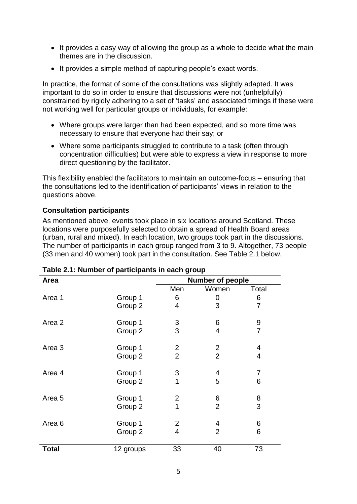- It provides a easy way of allowing the group as a whole to decide what the main themes are in the discussion.
- It provides a simple method of capturing people's exact words.

In practice, the format of some of the consultations was slightly adapted. It was important to do so in order to ensure that discussions were not (unhelpfully) constrained by rigidly adhering to a set of 'tasks' and associated timings if these were not working well for particular groups or individuals, for example:

- Where groups were larger than had been expected, and so more time was necessary to ensure that everyone had their say; or
- Where some participants struggled to contribute to a task (often through concentration difficulties) but were able to express a view in response to more direct questioning by the facilitator.

This flexibility enabled the facilitators to maintain an outcome-focus – ensuring that the consultations led to the identification of participants' views in relation to the questions above.

### <span id="page-7-0"></span>**Consultation participants**

As mentioned above, events took place in six locations around Scotland. These locations were purposefully selected to obtain a spread of Health Board areas (urban, rural and mixed). In each location, two groups took part in the discussions. The number of participants in each group ranged from 3 to 9. Altogether, 73 people (33 men and 40 women) took part in the consultation. See Table 2.1 below.

| Area              |           | <b>Number of people</b> |                |                |  |
|-------------------|-----------|-------------------------|----------------|----------------|--|
|                   |           | Men                     | Women          | Total          |  |
| Area 1            | Group 1   | 6                       | 0              | 6              |  |
|                   | Group 2   | 4                       | 3              | 7              |  |
| Area 2            | Group 1   | 3                       | 6              | 9              |  |
|                   | Group 2   | 3                       | 4              | $\overline{7}$ |  |
| Area 3            | Group 1   | $\overline{2}$          | $\overline{2}$ | 4              |  |
|                   | Group 2   | $\overline{2}$          | $\overline{2}$ | 4              |  |
| Area 4            | Group 1   | 3                       | 4              | 7              |  |
|                   | Group 2   | 1                       | 5              | 6              |  |
| Area <sub>5</sub> | Group 1   | $\overline{2}$          | 6              | 8              |  |
|                   | Group 2   | 1                       | $\overline{2}$ | 3              |  |
| Area <sub>6</sub> | Group 1   | $\overline{2}$          | 4              | 6              |  |
|                   | Group 2   | $\overline{4}$          | $\overline{2}$ | 6              |  |
| <b>Total</b>      | 12 groups | 33                      | 40             | 73             |  |

| Table 2.1: Number of participants in each group |  |  |  |  |  |
|-------------------------------------------------|--|--|--|--|--|
|-------------------------------------------------|--|--|--|--|--|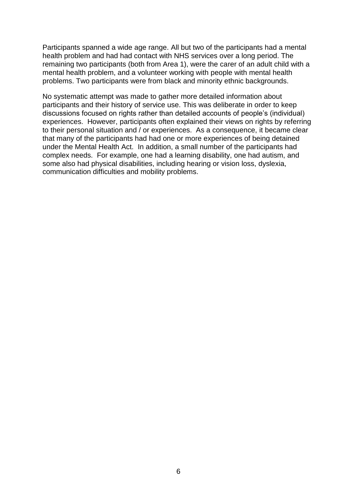Participants spanned a wide age range. All but two of the participants had a mental health problem and had had contact with NHS services over a long period. The remaining two participants (both from Area 1), were the carer of an adult child with a mental health problem, and a volunteer working with people with mental health problems. Two participants were from black and minority ethnic backgrounds.

No systematic attempt was made to gather more detailed information about participants and their history of service use. This was deliberate in order to keep discussions focused on rights rather than detailed accounts of people's (individual) experiences. However, participants often explained their views on rights by referring to their personal situation and / or experiences. As a consequence, it became clear that many of the participants had had one or more experiences of being detained under the Mental Health Act. In addition, a small number of the participants had complex needs. For example, one had a learning disability, one had autism, and some also had physical disabilities, including hearing or vision loss, dyslexia, communication difficulties and mobility problems.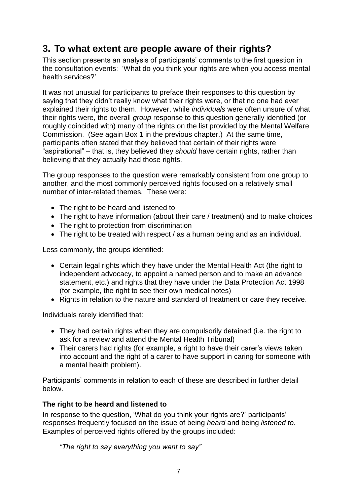### <span id="page-9-0"></span>**3. To what extent are people aware of their rights?**

This section presents an analysis of participants' comments to the first question in the consultation events: 'What do you think your rights are when you access mental health services?'

It was not unusual for participants to preface their responses to this question by saying that they didn't really know what their rights were, or that no one had ever explained their rights to them. However, while *individuals* were often unsure of what their rights were, the overall *group* response to this question generally identified (or roughly coincided with) many of the rights on the list provided by the Mental Welfare Commission. (See again Box 1 in the previous chapter.) At the same time, participants often stated that they believed that certain of their rights were "aspirational" – that is, they believed they *should* have certain rights, rather than believing that they actually had those rights.

The group responses to the question were remarkably consistent from one group to another, and the most commonly perceived rights focused on a relatively small number of inter-related themes. These were:

- The right to be heard and listened to
- The right to have information (about their care / treatment) and to make choices
- The right to protection from discrimination
- The right to be treated with respect / as a human being and as an individual.

Less commonly, the groups identified:

- Certain legal rights which they have under the Mental Health Act (the right to independent advocacy, to appoint a named person and to make an advance statement, etc.) and rights that they have under the Data Protection Act 1998 (for example, the right to see their own medical notes)
- Rights in relation to the nature and standard of treatment or care they receive.

Individuals rarely identified that:

- They had certain rights when they are compulsorily detained (i.e. the right to ask for a review and attend the Mental Health Tribunal)
- Their carers had rights (for example, a right to have their carer's views taken into account and the right of a carer to have support in caring for someone with a mental health problem).

Participants' comments in relation to each of these are described in further detail below.

### <span id="page-9-1"></span>**The right to be heard and listened to**

In response to the question, 'What do you think your rights are?' participants' responses frequently focused on the issue of being *heard* and being *listened to*. Examples of perceived rights offered by the groups included:

*"The right to say everything you want to say"*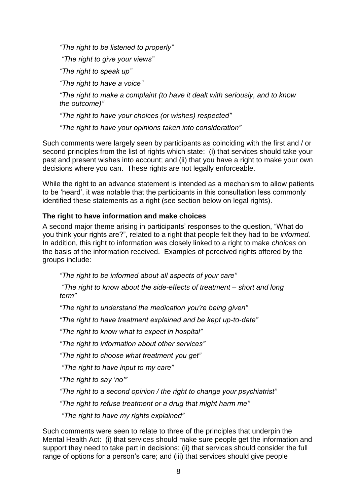*"The right to be listened to properly"*

*"The right to give your views"*

*"The right to speak up"*

*"The right to have a voice"*

*"The right to make a complaint (to have it dealt with seriously, and to know the outcome)"*

*"The right to have your choices (or wishes) respected"*

*"The right to have your opinions taken into consideration"*

Such comments were largely seen by participants as coinciding with the first and / or second principles from the list of rights which state: (i) that services should take your past and present wishes into account; and (ii) that you have a right to make your own decisions where you can. These rights are not legally enforceable.

While the right to an advance statement is intended as a mechanism to allow patients to be 'heard', it was notable that the participants in this consultation less commonly identified these statements as a right (see section below on legal rights).

### <span id="page-10-0"></span>**The right to have information and make choices**

A second major theme arising in participants' responses to the question, "What do you think your rights are?", related to a right that people felt they had to be *informed.*  In addition, this right to information was closely linked to a right to make *choices* on the basis of the information received. Examples of perceived rights offered by the groups include:

*"The right to be informed about all aspects of your care"*

*"The right to know about the side-effects of treatment – short and long term"*

*"The right to understand the medication you're being given"*

*"The right to have treatment explained and be kept up-to-date"*

*"The right to know what to expect in hospital"*

*"The right to information about other services"*

*"The right to choose what treatment you get"*

*"The right to have input to my care"*

*"The right to say 'no'"*

*"The right to a second opinion / the right to change your psychiatrist"*

*"The right to refuse treatment or a drug that might harm me"*

*"The right to have my rights explained"*

Such comments were seen to relate to three of the principles that underpin the Mental Health Act: (i) that services should make sure people get the information and support they need to take part in decisions; (ii) that services should consider the full range of options for a person's care; and (iii) that services should give people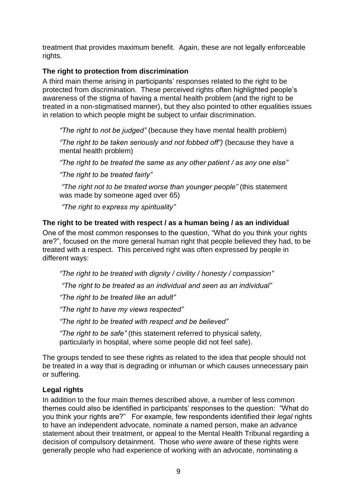treatment that provides maximum benefit. Again, these are not legally enforceable rights.

### <span id="page-11-0"></span>**The right to protection from discrimination**

A third main theme arising in participants' responses related to the right to be protected from discrimination. These perceived rights often highlighted people's awareness of the stigma of having a mental health problem (and the right to be treated in a non-stigmatised manner), but they also pointed to other equalities issues in relation to which people might be subject to unfair discrimination.

*"The right to not be judged"* (because they have mental health problem)

*"The right to be taken seriously and not fobbed off")* (because they have a mental health problem)

*"The right to be treated the same as any other patient / as any one else"*

*"The right to be treated fairly"*

*"The right not to be treated worse than younger people"* (this statement was made by someone aged over 65)

*"The right to express my spirituality"*

### <span id="page-11-1"></span>**The right to be treated with respect / as a human being / as an individual**

One of the most common responses to the question, "What do you think your rights are?", focused on the more general human right that people believed they had, to be treated with a respect. This perceived right was often expressed by people in different ways:

*"The right to be treated with dignity / civility / honesty / compassion"*

*"The right to be treated as an individual and seen as an individual"*

*"The right to be treated like an adult"*

*"The right to have my views respected"*

*"The right to be treated with respect and be believed"*

*"The right to be safe"* (this statement referred to physical safety, particularly in hospital, where some people did not feel safe).

The groups tended to see these rights as related to the idea that people should not be treated in a way that is degrading or inhuman or which causes unnecessary pain or suffering.

### <span id="page-11-2"></span>**Legal rights**

In addition to the four main themes described above, a number of less common themes could also be identified in participants' responses to the question: "What do you think your rights are?" For example, few respondents identified their *legal* rights to have an independent advocate, nominate a named person, make an advance statement about their treatment, or appeal to the Mental Health Tribunal regarding a decision of compulsory detainment. Those who *were* aware of these rights were generally people who had experience of working with an advocate, nominating a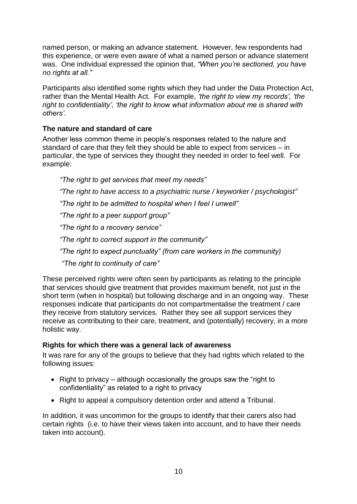named person, or making an advance statement. However, few respondents had this experience, or were even aware of what a named person or advance statement was. One individual expressed the opinion that, *"When you're sectioned, you have no rights at all."*

Participants also identified some rights which they had under the Data Protection Act, rather than the Mental Health Act. For example, *'the right to view my records', 'the right to confidentiality', 'the right to know what information about me is shared with others'.*

### <span id="page-12-0"></span>**The nature and standard of care**

Another less common theme in people's responses related to the nature and standard of care that they felt they should be able to expect from services – in particular, the type of services they thought they needed in order to feel well. For example:

*"The right to get services that meet my needs"*

*"The right to have access to a psychiatric nurse / keyworker / psychologist"*

*"The right to be admitted to hospital when I feel I unwell"*

*"The right to a peer support group"*

*"The right to a recovery service"*

*"The right to correct support in the community"* 

*"The right to expect punctuality" (from care workers in the community)*

*"The right to continuity of care"*

These perceived rights were often seen by participants as relating to the principle that services should give treatment that provides maximum benefit, not just in the short term (when in hospital) but following discharge and in an ongoing way. These responses indicate that participants do not compartmentalise the treatment / care they receive from statutory services. Rather they see all support services they receive as contributing to their care, treatment, and (potentially) recovery, in a more holistic way.

### <span id="page-12-1"></span>**Rights for which there was a general lack of awareness**

It was rare for any of the groups to believe that they had rights which related to the following issues:

- Right to privacy although occasionally the groups saw the "right to confidentiality" as related to a right to privacy
- Right to appeal a compulsory detention order and attend a Tribunal.

In addition, it was uncommon for the groups to identify that their carers also had certain rights (i.e. to have their views taken into account, and to have their needs taken into account).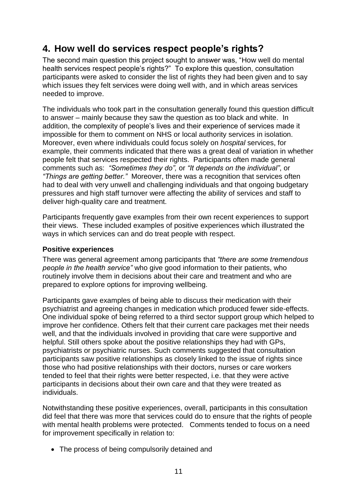### <span id="page-13-0"></span>**4. How well do services respect people's rights?**

The second main question this project sought to answer was, "How well do mental health services respect people's rights?" To explore this question, consultation participants were asked to consider the list of rights they had been given and to say which issues they felt services were doing well with, and in which areas services needed to improve.

The individuals who took part in the consultation generally found this question difficult to answer – mainly because they saw the question as too black and white. In addition, the complexity of people's lives and their experience of services made it impossible for them to comment on NHS or local authority services in isolation. Moreover, even where individuals could focus solely on *hospital* services, for example, their comments indicated that there was a great deal of variation in whether people felt that services respected their rights. Participants often made general comments such as: *"Sometimes they do",* or *"It depends on the individual"*, or *"Things are getting better."* Moreover, there was a recognition that services often had to deal with very unwell and challenging individuals and that ongoing budgetary pressures and high staff turnover were affecting the ability of services and staff to deliver high-quality care and treatment.

Participants frequently gave examples from their own recent experiences to support their views. These included examples of positive experiences which illustrated the ways in which services can and do treat people with respect.

### <span id="page-13-1"></span>**Positive experiences**

There was general agreement among participants that *"there are some tremendous people in the health service"* who give good information to their patients, who routinely involve them in decisions about their care and treatment and who are prepared to explore options for improving wellbeing.

Participants gave examples of being able to discuss their medication with their psychiatrist and agreeing changes in medication which produced fewer side-effects. One individual spoke of being referred to a third sector support group which helped to improve her confidence. Others felt that their current care packages met their needs well, and that the individuals involved in providing that care were supportive and helpful. Still others spoke about the positive relationships they had with GPs, psychiatrists or psychiatric nurses. Such comments suggested that consultation participants saw positive relationships as closely linked to the issue of rights since those who had positive relationships with their doctors, nurses or care workers tended to feel that their rights were better respected, i.e. that they were active participants in decisions about their own care and that they were treated as individuals.

Notwithstanding these positive experiences, overall, participants in this consultation did feel that there was more that services could do to ensure that the rights of people with mental health problems were protected. Comments tended to focus on a need for improvement specifically in relation to:

• The process of being compulsorily detained and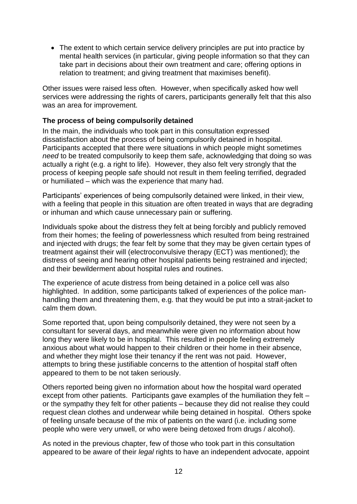The extent to which certain service delivery principles are put into practice by mental health services (in particular, giving people information so that they can take part in decisions about their own treatment and care; offering options in relation to treatment; and giving treatment that maximises benefit).

Other issues were raised less often. However, when specifically asked how well services were addressing the rights of carers, participants generally felt that this also was an area for improvement.

#### <span id="page-14-0"></span>**The process of being compulsorily detained**

In the main, the individuals who took part in this consultation expressed dissatisfaction about the process of being compulsorily detained in hospital. Participants accepted that there were situations in which people might sometimes *need* to be treated compulsorily to keep them safe, acknowledging that doing so was actually a right (e.g. a right to life). However, they also felt very strongly that the process of keeping people safe should not result in them feeling terrified, degraded or humiliated – which was the experience that many had.

Participants' experiences of being compulsorily detained were linked, in their view, with a feeling that people in this situation are often treated in ways that are degrading or inhuman and which cause unnecessary pain or suffering.

Individuals spoke about the distress they felt at being forcibly and publicly removed from their homes; the feeling of powerlessness which resulted from being restrained and injected with drugs; the fear felt by some that they may be given certain types of treatment against their will (electroconvulsive therapy (ECT) was mentioned); the distress of seeing and hearing other hospital patients being restrained and injected; and their bewilderment about hospital rules and routines.

The experience of acute distress from being detained in a police cell was also highlighted. In addition, some participants talked of experiences of the police manhandling them and threatening them, e.g. that they would be put into a strait-jacket to calm them down.

Some reported that, upon being compulsorily detained, they were not seen by a consultant for several days, and meanwhile were given no information about how long they were likely to be in hospital. This resulted in people feeling extremely anxious about what would happen to their children or their home in their absence, and whether they might lose their tenancy if the rent was not paid. However, attempts to bring these justifiable concerns to the attention of hospital staff often appeared to them to be not taken seriously.

Others reported being given no information about how the hospital ward operated except from other patients. Participants gave examples of the humiliation they felt – or the sympathy they felt for other patients – because they did not realise they could request clean clothes and underwear while being detained in hospital. Others spoke of feeling unsafe because of the mix of patients on the ward (i.e. including some people who were very unwell, or who were being detoxed from drugs / alcohol).

As noted in the previous chapter, few of those who took part in this consultation appeared to be aware of their *legal* rights to have an independent advocate, appoint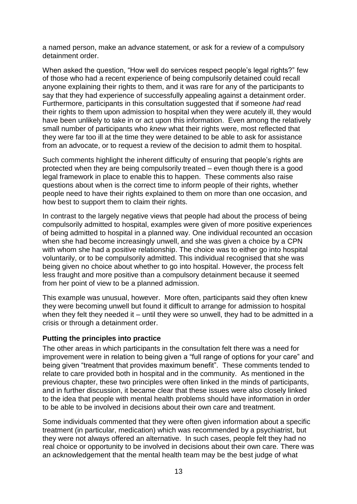a named person, make an advance statement, or ask for a review of a compulsory detainment order.

When asked the question, "How well do services respect people's legal rights?" few of those who had a recent experience of being compulsorily detained could recall anyone explaining their rights to them, and it was rare for any of the participants to say that they had experience of successfully appealing against a detainment order. Furthermore, participants in this consultation suggested that if someone *had* read their rights to them upon admission to hospital when they were acutely ill, they would have been unlikely to take in or act upon this information. Even among the relatively small number of participants who *knew* what their rights were, most reflected that they were far too ill at the time they were detained to be able to ask for assistance from an advocate, or to request a review of the decision to admit them to hospital.

Such comments highlight the inherent difficulty of ensuring that people's rights are protected when they are being compulsorily treated – even though there is a good legal framework in place to enable this to happen. These comments also raise questions about when is the correct time to inform people of their rights, whether people need to have their rights explained to them on more than one occasion, and how best to support them to claim their rights.

In contrast to the largely negative views that people had about the process of being compulsorily admitted to hospital, examples were given of more positive experiences of being admitted to hospital in a planned way. One individual recounted an occasion when she had become increasingly unwell, and she was given a choice by a CPN with whom she had a positive relationship. The choice was to either go into hospital voluntarily, or to be compulsorily admitted. This individual recognised that she was being given no choice about whether to go into hospital. However, the process felt less fraught and more positive than a compulsory detainment because it seemed from her point of view to be a planned admission.

This example was unusual, however. More often, participants said they often knew they were becoming unwell but found it difficult to arrange for admission to hospital when they felt they needed it – until they were so unwell, they had to be admitted in a crisis or through a detainment order.

#### <span id="page-15-0"></span>**Putting the principles into practice**

The other areas in which participants in the consultation felt there was a need for improvement were in relation to being given a "full range of options for your care" and being given "treatment that provides maximum benefit". These comments tended to relate to care provided both in hospital and in the community. As mentioned in the previous chapter, these two principles were often linked in the minds of participants, and in further discussion, it became clear that these issues were also closely linked to the idea that people with mental health problems should have information in order to be able to be involved in decisions about their own care and treatment.

Some individuals commented that they were often given information about a specific treatment (in particular, medication) which was recommended by a psychiatrist, but they were not always offered an alternative. In such cases, people felt they had no real choice or opportunity to be involved in decisions about their own care. There was an acknowledgement that the mental health team may be the best judge of what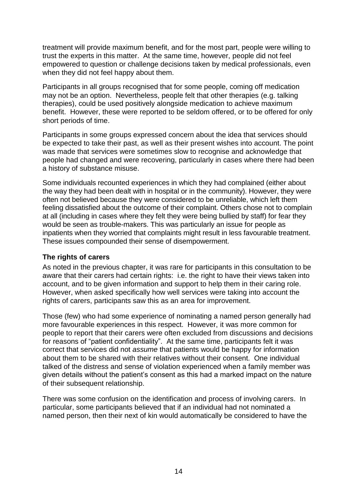treatment will provide maximum benefit, and for the most part, people were willing to trust the experts in this matter. At the same time, however, people did not feel empowered to question or challenge decisions taken by medical professionals, even when they did not feel happy about them.

Participants in all groups recognised that for some people, coming off medication may not be an option. Nevertheless, people felt that other therapies (e.g. talking therapies), could be used positively alongside medication to achieve maximum benefit. However, these were reported to be seldom offered, or to be offered for only short periods of time.

Participants in some groups expressed concern about the idea that services should be expected to take their past, as well as their present wishes into account. The point was made that services were sometimes slow to recognise and acknowledge that people had changed and were recovering, particularly in cases where there had been a history of substance misuse.

Some individuals recounted experiences in which they had complained (either about the way they had been dealt with in hospital or in the community). However, they were often not believed because they were considered to be unreliable, which left them feeling dissatisfied about the outcome of their complaint. Others chose not to complain at all (including in cases where they felt they were being bullied by staff) for fear they would be seen as trouble-makers. This was particularly an issue for people as inpatients when they worried that complaints might result in less favourable treatment. These issues compounded their sense of disempowerment.

#### <span id="page-16-0"></span>**The rights of carers**

As noted in the previous chapter, it was rare for participants in this consultation to be aware that their carers had certain rights: i.e. the right to have their views taken into account, and to be given information and support to help them in their caring role. However, when asked specifically how well services were taking into account the rights of carers, participants saw this as an area for improvement.

Those (few) who had some experience of nominating a named person generally had more favourable experiences in this respect. However, it was more common for people to report that their carers were often excluded from discussions and decisions for reasons of "patient confidentiality". At the same time, participants felt it was correct that services did not *assume* that patients would be happy for information about them to be shared with their relatives without their consent. One individual talked of the distress and sense of violation experienced when a family member was given details without the patient's consent as this had a marked impact on the nature of their subsequent relationship.

There was some confusion on the identification and process of involving carers. In particular, some participants believed that if an individual had not nominated a named person, then their next of kin would automatically be considered to have the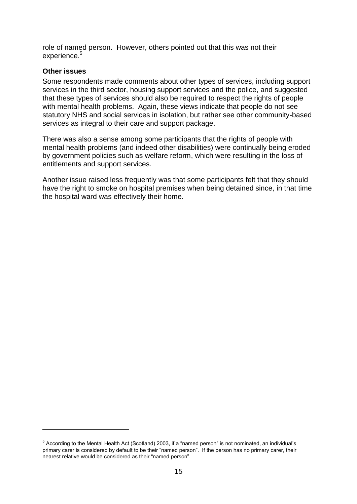role of named person. However, others pointed out that this was not their experience.<sup>5</sup>

### <span id="page-17-0"></span>**Other issues**

 $\overline{a}$ 

Some respondents made comments about other types of services, including support services in the third sector, housing support services and the police, and suggested that these types of services should also be required to respect the rights of people with mental health problems. Again, these views indicate that people do not see statutory NHS and social services in isolation, but rather see other community-based services as integral to their care and support package.

There was also a sense among some participants that the rights of people with mental health problems (and indeed other disabilities) were continually being eroded by government policies such as welfare reform, which were resulting in the loss of entitlements and support services.

Another issue raised less frequently was that some participants felt that they should have the right to smoke on hospital premises when being detained since, in that time the hospital ward was effectively their home.

<sup>&</sup>lt;sup>5</sup> According to the Mental Health Act (Scotland) 2003, if a "named person" is not nominated, an individual's primary carer is considered by default to be their "named person". If the person has no primary carer, their nearest relative would be considered as their "named person".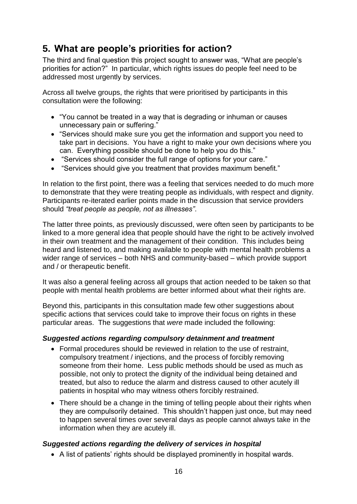### <span id="page-18-0"></span>**5. What are people's priorities for action?**

The third and final question this project sought to answer was, "What are people's priorities for action?" In particular, which rights issues do people feel need to be addressed most urgently by services.

Across all twelve groups, the rights that were prioritised by participants in this consultation were the following:

- "You cannot be treated in a way that is degrading or inhuman or causes unnecessary pain or suffering."
- "Services should make sure you get the information and support you need to take part in decisions. You have a right to make your own decisions where you can. Everything possible should be done to help you do this."
- "Services should consider the full range of options for your care."
- "Services should give you treatment that provides maximum benefit."

In relation to the first point, there was a feeling that services needed to do much more to demonstrate that they were treating people as individuals, with respect and dignity. Participants re-iterated earlier points made in the discussion that service providers should *"treat people as people, not as illnesses"*.

The latter three points, as previously discussed, were often seen by participants to be linked to a more general idea that people should have the right to be actively involved in their own treatment and the management of their condition. This includes being heard and listened to, and making available to people with mental health problems a wider range of services – both NHS and community-based – which provide support and / or therapeutic benefit.

It was also a general feeling across all groups that action needed to be taken so that people with mental health problems are better informed about what their rights are.

Beyond this, participants in this consultation made few other suggestions about specific actions that services could take to improve their focus on rights in these particular areas. The suggestions that *were* made included the following:

### *Suggested actions regarding compulsory detainment and treatment*

- Formal procedures should be reviewed in relation to the use of restraint, compulsory treatment / injections, and the process of forcibly removing someone from their home. Less public methods should be used as much as possible, not only to protect the dignity of the individual being detained and treated, but also to reduce the alarm and distress caused to other acutely ill patients in hospital who may witness others forcibly restrained.
- There should be a change in the timing of telling people about their rights when they are compulsorily detained. This shouldn't happen just once, but may need to happen several times over several days as people cannot always take in the information when they are acutely ill.

### *Suggested actions regarding the delivery of services in hospital*

A list of patients' rights should be displayed prominently in hospital wards.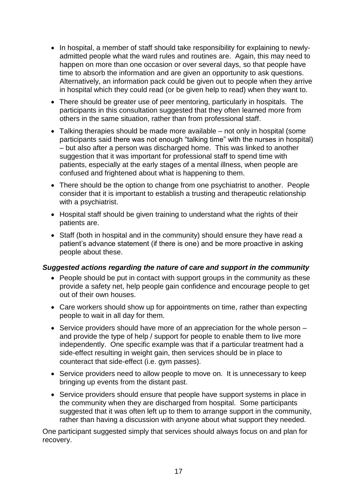- In hospital, a member of staff should take responsibility for explaining to newlyadmitted people what the ward rules and routines are. Again, this may need to happen on more than one occasion or over several days, so that people have time to absorb the information and are given an opportunity to ask questions. Alternatively, an information pack could be given out to people when they arrive in hospital which they could read (or be given help to read) when they want to.
- There should be greater use of peer mentoring, particularly in hospitals. The participants in this consultation suggested that they often learned more from others in the same situation, rather than from professional staff.
- Talking therapies should be made more available not only in hospital (some participants said there was not enough "talking time" with the nurses in hospital) – but also after a person was discharged home. This was linked to another suggestion that it was important for professional staff to spend time with patients, especially at the early stages of a mental illness, when people are confused and frightened about what is happening to them.
- There should be the option to change from one psychiatrist to another. People consider that it is important to establish a trusting and therapeutic relationship with a psychiatrist.
- Hospital staff should be given training to understand what the rights of their patients are.
- Staff (both in hospital and in the community) should ensure they have read a patient's advance statement (if there is one) and be more proactive in asking people about these.

### *Suggested actions regarding the nature of care and support in the community*

- People should be put in contact with support groups in the community as these provide a safety net, help people gain confidence and encourage people to get out of their own houses.
- Care workers should show up for appointments on time, rather than expecting people to wait in all day for them.
- Service providers should have more of an appreciation for the whole person and provide the type of help / support for people to enable them to live more independently. One specific example was that if a particular treatment had a side-effect resulting in weight gain, then services should be in place to counteract that side-effect (i.e. gym passes).
- Service providers need to allow people to move on. It is unnecessary to keep bringing up events from the distant past.
- Service providers should ensure that people have support systems in place in the community when they are discharged from hospital. Some participants suggested that it was often left up to them to arrange support in the community, rather than having a discussion with anyone about what support they needed.

One participant suggested simply that services should always focus on and plan for recovery.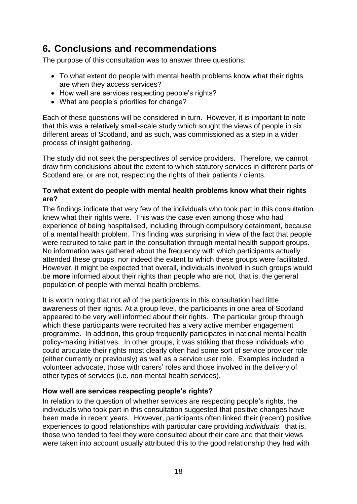### <span id="page-20-0"></span>**6. Conclusions and recommendations**

The purpose of this consultation was to answer three questions:

- To what extent do people with mental health problems know what their rights are when they access services?
- How well are services respecting people's rights?
- What are people's priorities for change?

Each of these questions will be considered in turn. However, it is important to note that this was a relatively small-scale study which sought the views of people in six different areas of Scotland, and as such, was commissioned as a step in a wider process of insight gathering.

The study did not seek the perspectives of service providers. Therefore, we cannot draw firm conclusions about the extent to which statutory services in different parts of Scotland are, or are not, respecting the rights of their patients / clients.

### <span id="page-20-1"></span>**To what extent do people with mental health problems know what their rights are?**

The findings indicate that very few of the individuals who took part in this consultation knew what their rights were. This was the case even among those who had experience of being hospitalised, including through compulsory detainment, because of a mental health problem. This finding was surprising in view of the fact that people were recruited to take part in the consultation through mental health support groups. No information was gathered about the frequency with which participants actually attended these groups, nor indeed the extent to which these groups were facilitated. However, it might be expected that overall, individuals involved in such groups would be **more** informed about their rights than people who are not, that is, the general population of people with mental health problems.

It is worth noting that not *all* of the participants in this consultation had little awareness of their rights. At a group level, the participants in one area of Scotland appeared to be very well informed about their rights. The particular group through which these participants were recruited has a very active member engagement programme. In addition, this group frequently participates in national mental health policy-making initiatives. In other groups, it was striking that those individuals who could articulate their rights most clearly often had some sort of service provider role (either currently or previously) as well as a service user role. Examples included a volunteer advocate, those with carers' roles and those involved in the delivery of other types of services (i.e. non-mental health services).

### <span id="page-20-2"></span>**How well are services respecting people's rights?**

In relation to the question of whether services are respecting people's rights, the individuals who took part in this consultation suggested that positive changes have been made in recent years. However, participants often linked their (recent) positive experiences to good relationships with particular care providing *individuals*: that is, those who tended to feel they were consulted about their care and that their views were taken into account usually attributed this to the good relationship they had with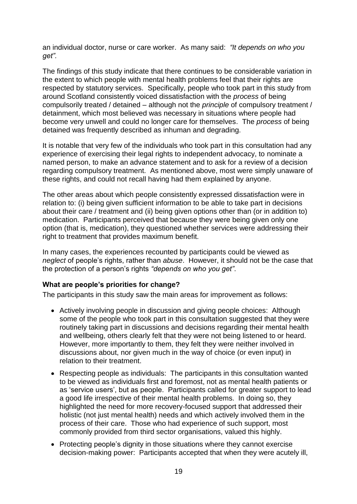an individual doctor, nurse or care worker. As many said: *"It depends on who you get".*

The findings of this study indicate that there continues to be considerable variation in the extent to which people with mental health problems feel that their rights are respected by statutory services. Specifically, people who took part in this study from around Scotland consistently voiced dissatisfaction with the *process* of being compulsorily treated / detained – although not the *principle* of compulsory treatment / detainment, which most believed was necessary in situations where people had become very unwell and could no longer care for themselves. The *process* of being detained was frequently described as inhuman and degrading.

It is notable that very few of the individuals who took part in this consultation had any experience of exercising their legal rights to independent advocacy, to nominate a named person, to make an advance statement and to ask for a review of a decision regarding compulsory treatment. As mentioned above, most were simply unaware of these rights, and could not recall having had them explained by anyone.

The other areas about which people consistently expressed dissatisfaction were in relation to: (i) being given sufficient information to be able to take part in decisions about their care / treatment and (ii) being given options other than (or in addition to) medication. Participants perceived that because they were being given only one option (that is, medication), they questioned whether services were addressing their right to treatment that provides maximum benefit.

In many cases, the experiences recounted by participants could be viewed as *neglect* of people's rights, rather than *abuse*. However, it should not be the case that the protection of a person's rights *"depends on who you get"*.

### <span id="page-21-0"></span>**What are people's priorities for change?**

The participants in this study saw the main areas for improvement as follows:

- Actively involving people in discussion and giving people choices: Although some of the people who took part in this consultation suggested that they were routinely taking part in discussions and decisions regarding their mental health and wellbeing, others clearly felt that they were not being listened to or heard. However, more importantly to them, they felt they were neither involved in discussions about, nor given much in the way of choice (or even input) in relation to their treatment.
- Respecting people as individuals: The participants in this consultation wanted to be viewed as individuals first and foremost, not as mental health patients or as 'service users', but as people. Participants called for greater support to lead a good life irrespective of their mental health problems. In doing so, they highlighted the need for more recovery-focused support that addressed their holistic (not just mental health) needs and which actively involved them in the process of their care. Those who had experience of such support, most commonly provided from third sector organisations, valued this highly.
- Protecting people's dignity in those situations where they cannot exercise decision-making power: Participants accepted that when they were acutely ill,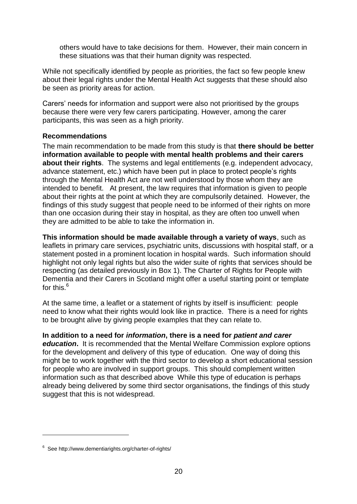others would have to take decisions for them. However, their main concern in these situations was that their human dignity was respected.

While not specifically identified by people as priorities, the fact so few people knew about their legal rights under the Mental Health Act suggests that these should also be seen as priority areas for action.

Carers' needs for information and support were also not prioritised by the groups because there were very few carers participating. However, among the carer participants, this was seen as a high priority.

### <span id="page-22-0"></span>**Recommendations**

The main recommendation to be made from this study is that **there should be better information available to people with mental health problems and their carers about their rights**.The systems and legal entitlements (e.g. independent advocacy, advance statement, etc.) which have been put in place to protect people's rights through the Mental Health Act are not well understood by those whom they are intended to benefit. At present, the law requires that information is given to people about their rights at the point at which they are compulsorily detained. However, the findings of this study suggest that people need to be informed of their rights on more than one occasion during their stay in hospital, as they are often too unwell when they are admitted to be able to take the information in.

**This information should be made available through a variety of ways**, such as leaflets in primary care services, psychiatric units, discussions with hospital staff, or a statement posted in a prominent location in hospital wards. Such information should highlight not only legal rights but also the wider suite of rights that services should be respecting (as detailed previously in Box 1). The [Charter of Rights for People with](http://www.dementiarights.org/charter-of-rights/)  [Dementia and their Carers in Scotland](http://www.dementiarights.org/charter-of-rights/) might offer a useful starting point or template for this.<sup>6</sup>

At the same time, a leaflet or a statement of rights by itself is insufficient: people need to know what their rights would look like in practice. There is a need for rights to be brought alive by giving people examples that they can relate to.

### **In addition to a need for** *information***, there is a need for** *patient and carer*

*education***.** It is recommended that the Mental Welfare Commission explore options for the development and delivery of this type of education.One way of doing this might be to work together with the third sector to develop a short educational session for people who are involved in support groups. This should complement written information such as that described above While this type of education is perhaps already being delivered by some third sector organisations, the findings of this study suggest that this is not widespread.

 $\overline{a}$ 

<sup>&</sup>lt;sup>6</sup> See http://www.dementiarights.org/charter-of-rights/